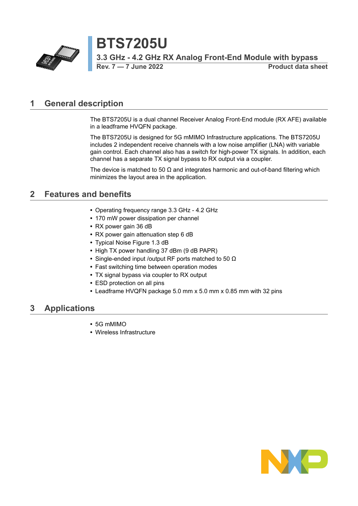

**Rev. 7 — 7 June 2022 Product data sheet**

## <span id="page-0-0"></span>**1 General description**

The BTS7205U is a dual channel Receiver Analog Front-End module (RX AFE) available in a leadframe HVQFN package.

The BTS7205U is designed for 5G mMIMO Infrastructure applications. The BTS7205U includes 2 independent receive channels with a low noise amplifier (LNA) with variable gain control. Each channel also has a switch for high-power TX signals. In addition, each channel has a separate TX signal bypass to RX output via a coupler.

The device is matched to 50  $\Omega$  and integrates harmonic and out-of-band filtering which minimizes the layout area in the application.

## <span id="page-0-1"></span>**2 Features and benefits**

- **•** Operating frequency range 3.3 GHz 4.2 GHz
- **•** 170 mW power dissipation per channel
- **•** RX power gain 36 dB
- **•** RX power gain attenuation step 6 dB
- **•** Typical Noise Figure 1.3 dB
- **•** High TX power handling 37 dBm (9 dB PAPR)
- **•** Single-ended input /output RF ports matched to 50 Ω
- **•** Fast switching time between operation modes
- **•** TX signal bypass via coupler to RX output
- **•** ESD protection on all pins
- **•** Leadframe HVQFN package 5.0 mm x 5.0 mm x 0.85 mm with 32 pins

## <span id="page-0-2"></span>**3 Applications**

- **•** 5G mMIMO
- **•** Wireless Infrastructure

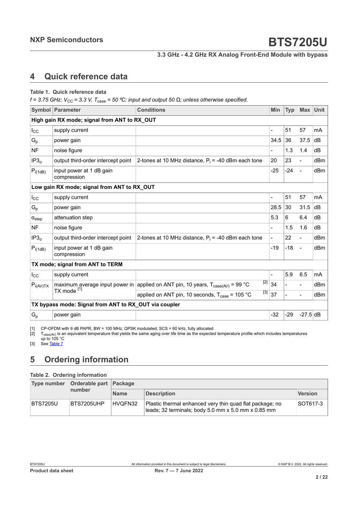## <span id="page-1-3"></span><span id="page-1-1"></span><span id="page-1-0"></span>**4 Quick reference data**

#### <span id="page-1-2"></span>**Table 1. Quick reference data**

 $f = 3.75$  GHz;  $V_{CC} = 3.3$  V,  $T_{case} = 50$  °C; input and output 50  $\Omega$ ; unless otherwise specified.

|                                              | Symbol Parameter                                      | <b>Conditions</b>                                                                                         | <b>Min</b>               | <b>Typ</b>     |                              | Max Unit |  |  |  |  |
|----------------------------------------------|-------------------------------------------------------|-----------------------------------------------------------------------------------------------------------|--------------------------|----------------|------------------------------|----------|--|--|--|--|
| High gain RX mode; signal from ANT to RX_OUT |                                                       |                                                                                                           |                          |                |                              |          |  |  |  |  |
| $I_{\rm CC}$                                 | supply current                                        |                                                                                                           | $\overline{a}$           | 51             | 57                           | mA       |  |  |  |  |
| $G_p$                                        | power gain                                            |                                                                                                           | 34.5                     | 36             | 37.5                         | dB       |  |  |  |  |
| <b>NF</b>                                    | noise figure                                          |                                                                                                           |                          | 1.3            | 1.4                          | dB       |  |  |  |  |
| IP3 <sub>o</sub>                             | output third-order intercept point                    | 2-tones at 10 MHz distance, $P_i = -40$ dBm each tone                                                     | 20                       | 23             | $\overline{\phantom{0}}$     | dBm      |  |  |  |  |
| $P_{i(1dB)}$                                 | input power at 1 dB gain<br>compression               |                                                                                                           | $-25$                    | $-24$          |                              | dBm      |  |  |  |  |
|                                              | Low gain RX mode; signal from ANT to RX_OUT           |                                                                                                           |                          |                |                              |          |  |  |  |  |
| $I_{\rm CC}$                                 | supply current                                        |                                                                                                           | $\overline{\phantom{0}}$ | 51             | 57                           | mA       |  |  |  |  |
| $G_{p}$                                      | power gain                                            |                                                                                                           | 28.5                     | 30             | 31.5                         | dB       |  |  |  |  |
| $\alpha_{step}$                              | attenuation step                                      |                                                                                                           | 5.3                      | 6              | 6.4                          | dB       |  |  |  |  |
| <b>NF</b>                                    | noise figure                                          |                                                                                                           |                          | 1.5            | 1.6                          | dB       |  |  |  |  |
| IP3 <sub>o</sub>                             | output third-order intercept point                    | 2-tones at 10 MHz distance, $P_i = -40$ dBm each tone                                                     | $\overline{a}$           | 22             | $\blacksquare$               | dBm      |  |  |  |  |
| $P_{i(1dB)}$                                 | input power at 1 dB gain<br>compression               |                                                                                                           | $-19$                    | $-18$          | $\overline{a}$               | dBm      |  |  |  |  |
|                                              | TX mode; signal from ANT to TERM                      |                                                                                                           |                          |                |                              |          |  |  |  |  |
| $I_{\rm CC}$                                 | supply current                                        |                                                                                                           |                          | 5.9            | 6.5                          | mA       |  |  |  |  |
| $P_{i(AV)TX}$                                |                                                       | [2]<br>maximum average input power in applied on ANT pin, 10 years, $T_{\text{case(AV)}} = 99 \text{ °C}$ | 34                       | $\blacksquare$ | $\qquad \qquad \blacksquare$ | dBm      |  |  |  |  |
|                                              | TX mode [1]                                           | $\left[3\right]$<br>applied on ANT pin, 10 seconds, $T_{\text{case}}$ = 105 °C                            | 37                       | $\blacksquare$ | $\qquad \qquad \blacksquare$ | dBm      |  |  |  |  |
|                                              | TX bypass mode: Signal from ANT to RX_OUT via coupler |                                                                                                           |                          |                |                              |          |  |  |  |  |
| $G_p$                                        | power gain                                            |                                                                                                           | $-32$                    | $-29$          | $-27.5$ dB                   |          |  |  |  |  |

[1] CP-OFDM with 9 dB PAPR, BW = 100 MHz, QPSK modulated, SCS = 60 kHz, fully allocated  $[2]$   $T_{\text{case}(A/V)}$  is an equivalent temperature that yields the same aging over life time as the expecte

[2]  $\;$  T $_{\rm case (AV)}$  is an equivalent temperature that yields the same aging over life time as the expected temperature profile which includes temperatures up to 105 °C

[3] See [Table](#page-5-0) 7

# <span id="page-1-4"></span>**5 Ordering information**

#### **Table 2. Ordering information**

| Type number     | Orderable part Package |             |                                                                                                                 |                |  |  |  |
|-----------------|------------------------|-------------|-----------------------------------------------------------------------------------------------------------------|----------------|--|--|--|
|                 | number                 | <b>Name</b> | <b>Description</b>                                                                                              | <b>Version</b> |  |  |  |
| <b>BTS7205U</b> | BTS7205UHP             | HVQFN32     | Plastic thermal enhanced very thin quad flat package; no<br>leads; 32 terminals; body 5.0 mm x 5.0 mm x 0.85 mm | SOT617-3       |  |  |  |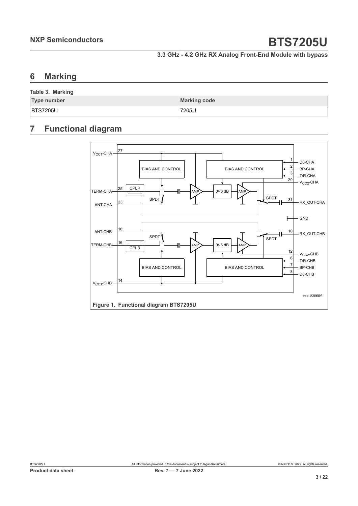## <span id="page-2-0"></span>**6 Marking**

| Table 3. Marking   |                     |
|--------------------|---------------------|
| <b>Type number</b> | <b>Marking code</b> |
| <b>BTS7205U</b>    | `7205U              |

## <span id="page-2-1"></span>**7 Functional diagram**

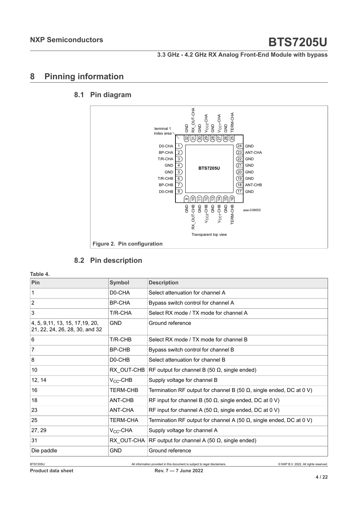## <span id="page-3-0"></span>**8 Pinning information**

### **8.1 Pin diagram**

<span id="page-3-1"></span>

## <span id="page-3-2"></span>**8.2 Pin description**

**Table 4.**

| Pin                                                                | <b>Symbol</b>       | <b>Description</b>                                                          |
|--------------------------------------------------------------------|---------------------|-----------------------------------------------------------------------------|
| 1                                                                  | D0-CHA              | Select attenuation for channel A                                            |
| 2                                                                  | BP-CHA              | Bypass switch control for channel A                                         |
| 3                                                                  | T/R-CHA             | Select RX mode / TX mode for channel A                                      |
| 4, 5, 9, 11, 13, 15, 17, 19, 20,<br>21, 22, 24, 26, 28, 30, and 32 | <b>GND</b>          | Ground reference                                                            |
| 6                                                                  | T/R-CHB             | Select RX mode / TX mode for channel B                                      |
| $\overline{7}$                                                     | BP-CHB              | Bypass switch control for channel B                                         |
| 8                                                                  | D <sub>0</sub> -CHB | Select attenuation for channel B                                            |
| 10 <sup>°</sup>                                                    | RX OUT-CHB          | RF output for channel B (50 $\Omega$ , single ended)                        |
| 12, 14                                                             | $V_{CC}$ -CHB       | Supply voltage for channel B                                                |
| 16                                                                 | <b>TERM-CHB</b>     | Termination RF output for channel B (50 $\Omega$ , single ended, DC at 0 V) |
| 18                                                                 | ANT-CHB             | RF input for channel B (50 $\Omega$ , single ended, DC at 0 V)              |
| 23                                                                 | ANT-CHA             | RF input for channel A (50 $\Omega$ , single ended, DC at 0 V)              |
| 25                                                                 | <b>TERM-CHA</b>     | Termination RF output for channel A (50 $\Omega$ , single ended, DC at 0 V) |
| 27, 29                                                             | $V_{CC}$ -CHA       | Supply voltage for channel A                                                |
| 31                                                                 | RX OUT-CHA          | RF output for channel A (50 $\Omega$ , single ended)                        |
| Die paddle                                                         | GND                 | Ground reference                                                            |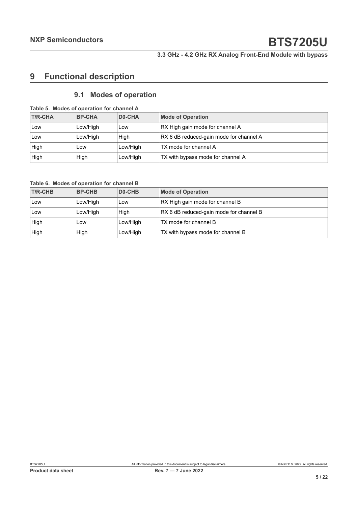# <span id="page-4-0"></span>**9 Functional description**

## <span id="page-4-1"></span>**9.1 Modes of operation**

|  |  | Table 5. Modes of operation for channel A |
|--|--|-------------------------------------------|
|  |  |                                           |

| <b>T/R-CHA</b> | <b>BP-CHA</b> | D0-CHA   | <b>Mode of Operation</b>                |
|----------------|---------------|----------|-----------------------------------------|
| Low            | Low/High      | Low      | RX High gain mode for channel A         |
| Low            | Low/High      | Hiah     | RX 6 dB reduced-gain mode for channel A |
| High           | Low           | Low/High | TX mode for channel A                   |
| High           | High          | Low/High | TX with bypass mode for channel A       |

**Table 6. Modes of operation for channel B**

| <b>T/R-CHB</b> | <b>BP-CHB</b> | D <sub>0</sub> -CHB | <b>Mode of Operation</b>                |
|----------------|---------------|---------------------|-----------------------------------------|
| Low            | Low/High      | Low                 | RX High gain mode for channel B         |
| Low            | Low/High      | High                | RX 6 dB reduced-gain mode for channel B |
| High           | Low           | Low/High            | TX mode for channel B                   |
| High           | High          | Low/High            | TX with bypass mode for channel B       |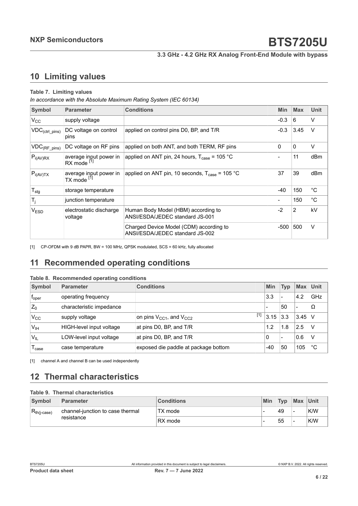## <span id="page-5-2"></span><span id="page-5-1"></span>**10 Limiting values**

#### <span id="page-5-0"></span>**Table 7. Limiting values**

*In accordance with the Absolute Maximum Rating System (IEC 60134)*

| Symbol                               | <b>Parameter</b>                                 | <b>Conditions</b>                                                          | <b>Min</b>     | <b>Max</b>     | <b>Unit</b> |
|--------------------------------------|--------------------------------------------------|----------------------------------------------------------------------------|----------------|----------------|-------------|
| $V_{\rm CC}$                         | supply voltage                                   |                                                                            | $-0.3$         | 6              | V           |
| $\mathsf{VDC}_{(ctrl\_pins)}$        | DC voltage on control<br>pins                    | applied on control pins D0, BP, and T/R                                    | $-0.3$         | 3.45           | v           |
| $\mathsf{VDC}_{(\mathsf{RF\_pins})}$ | DC voltage on RF pins                            | applied on both ANT, and both TERM, RF pins                                | 0              | 0              | V           |
| $P_{i(AV)RX}$                        | average input power in<br>RX mode <sup>[1]</sup> | applied on ANT pin, 24 hours, $T_{\text{case}}$ = 105 °C                   |                | 11             | dBm         |
| $P_{i(AV)TX}$                        | average input power in<br>TX mode <sup>[1]</sup> | applied on ANT pin, 10 seconds, $T_{\text{case}} = 105 \text{ °C}$         | 37             | 39             | dBm         |
| $T_{\text{stg}}$                     | storage temperature                              |                                                                            | $-40$          | 150            | $^{\circ}C$ |
| $T_j$                                | junction temperature                             |                                                                            | $\blacksquare$ | 150            | °C          |
| <b>VESD</b>                          | electrostatic discharge<br>voltage               | Human Body Model (HBM) according to<br>ANSI/ESDA/JEDEC standard JS-001     | $-2$           | $\overline{2}$ | kV          |
|                                      |                                                  | Charged Device Model (CDM) according to<br>ANSI/ESDA/JEDEC standard JS-002 | -500           | 500            | V           |

[1] CP-OFDM with 9 dB PAPR, BW = 100 MHz, QPSK modulated, SCS = 60 kHz, fully allocated

# <span id="page-5-3"></span>**11 Recommended operating conditions**

#### **Table 8. Recommended operating conditions**

| Symbol            | <b>Parameter</b>         | <b>Conditions</b>                          | Min                      | <b>Typ</b> | <b>Max</b>               | <b>Unit</b> |
|-------------------|--------------------------|--------------------------------------------|--------------------------|------------|--------------------------|-------------|
| $f_{\rm oper}$    | operating frequency      |                                            | 3.3                      |            | 4.2                      | GHz         |
| $Z_0$             | characteristic impedance |                                            | $\overline{\phantom{0}}$ | 50         | $\overline{\phantom{0}}$ | Ω           |
| $V_{\rm CC}$      | supply voltage           | $[1]$<br>on pins $V_{CC1}$ , and $V_{CC2}$ | 3.15                     | 3.3        | 3.45                     |             |
| $V_{IH}$          | HIGH-level input voltage | at pins D0, BP, and T/R                    | 1.2                      | 1.8        | 2.5                      |             |
| V <sub>IL</sub>   | LOW-level input voltage  | at pins D0, BP, and T/R                    | 0                        |            | 0.6                      |             |
| l <sub>case</sub> | case temperature         | exposed die paddle at package bottom       | $-40$                    | 50         | 105                      | °С          |

[1] channel A and channel B can be used independently

## <span id="page-5-4"></span>**12 Thermal characteristics**

#### **Table 9. Thermal characteristics**

| Symbol                  | Parameter                                      | <b>Conditions</b> | Min | Typ | Max Unit |     |
|-------------------------|------------------------------------------------|-------------------|-----|-----|----------|-----|
| $R_{th(i\text{-case})}$ | channel-junction to case thermal<br>resistance | TX mode           |     | 49  | -        | K/W |
|                         |                                                | RX mode           |     | 55  | -        | K/W |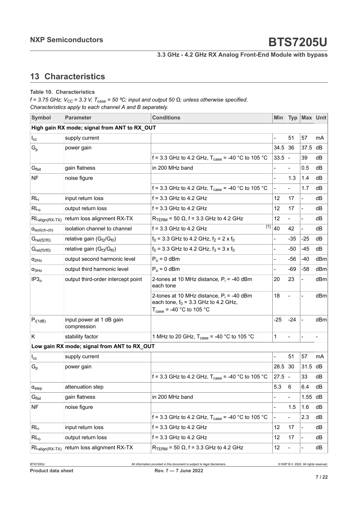# <span id="page-6-0"></span>**13 Characteristics**

#### **Table 10. Characteristics**

*f = 3.75 GHz; VCC = 3.3 V, Tcase = 50 ⁰C; input and output 50 Ω; unless otherwise specified. Characteristics apply to each channel A and B separately.*

| Symbol                        | <b>Parameter</b>                                  | <b>Conditions</b>                                                                                                             | Min                    | <b>Typ</b>               | Max Unit                     |     |
|-------------------------------|---------------------------------------------------|-------------------------------------------------------------------------------------------------------------------------------|------------------------|--------------------------|------------------------------|-----|
|                               | High gain RX mode; signal from ANT to RX_OUT      |                                                                                                                               |                        |                          |                              |     |
| $I_{\rm cc}$                  | supply current                                    |                                                                                                                               |                        | 51                       | 57                           | mA  |
| $G_p$                         | power gain                                        |                                                                                                                               | 34.5                   | 36                       | 37.5                         | dВ  |
|                               |                                                   | f = 3.3 GHz to 4.2 GHz, $T_{\text{case}}$ = -40 °C to 105 °C                                                                  | 33.5                   | $\overline{\phantom{a}}$ | 39                           | dВ  |
| $G_{\text{flat}}$             | gain flatness                                     | in 200 MHz band                                                                                                               |                        |                          | 0.5                          | dB  |
| <b>NF</b>                     | noise figure                                      |                                                                                                                               |                        | 1.3                      | 1.4                          | dВ  |
|                               |                                                   | f = 3.3 GHz to 4.2 GHz, $T_{\text{case}}$ = -40 °C to 105 °C                                                                  | $\overline{a}$         |                          | 1.7                          | dВ  |
| RL <sub>i</sub>               | input return loss                                 | $f = 3.3$ GHz to 4.2 GHz                                                                                                      | 12                     | 17                       | $\blacksquare$               | dB  |
| RL <sub>o</sub>               | output return loss                                | $f = 3.3$ GHz to 4.2 GHz                                                                                                      | 12                     | 17                       | $\overline{\phantom{a}}$     | dВ  |
| $RL_{align(RX-TX)}$           | return loss alignment RX-TX                       | $R_{TERM}$ = 50 $\Omega$ , f = 3.3 GHz to 4.2 GHz                                                                             | 12                     |                          | $\blacksquare$               | dВ  |
| $\alpha_{\text{isol(ch-ch)}}$ | isolation channel to channel                      | $f = 3.3$ GHz to 4.2 GHz                                                                                                      | $\overline{[1]} _{40}$ | 42                       | $\overline{\phantom{a}}$     | dВ  |
| $G_{rel(f2/f0)}$              | relative gain (G <sub>f2</sub> /G <sub>f0</sub> ) | $f_0$ = 3.3 GHz to 4.2 GHz, $f_2$ = 2 x $f_0$                                                                                 |                        | -35                      | $-25$                        | dВ  |
| $G_{rel(f3/f0)}$              | relative gain $(G_{f3}/G_{f0})$                   | $f_0$ = 3.3 GHz to 4.2 GHz, $f_3$ = 3 x $f_0$                                                                                 | $\overline{a}$         | -50                      | $-45$                        | dВ  |
| $\alpha_{2Ho}$                | output second harmonic level                      | $P_0 = 0$ dBm                                                                                                                 |                        | -56                      | $-40$                        | dBm |
| $\alpha_{3Ho}$                | output third harmonic level                       | $P_0 = 0$ dBm                                                                                                                 |                        | -69                      | $-58$                        | dBm |
| IP3 <sub>o</sub>              | output third-order intercept point                | 2-tones at 10 MHz distance, $P_i = -40$ dBm<br>each tone                                                                      | 20                     | 23                       | $\qquad \qquad \blacksquare$ | dBm |
|                               |                                                   | 2-tones at 10 MHz distance, $P_i = -40$ dBm<br>each tone, $f_0 = 3.3$ GHz to 4.2 GHz,<br>$T_{\text{case}}$ = -40 °C to 105 °C | 18                     |                          | $\overline{\phantom{a}}$     | dBm |
| $P_{i(1dB)}$                  | input power at 1 dB gain<br>compression           |                                                                                                                               | $-25$                  | $-24$                    | $\overline{\phantom{a}}$     | dBm |
| Κ                             | stability factor                                  | 1 MHz to 20 GHz, $T_{\text{case}} = -40$ °C to 105 °C                                                                         | 1                      |                          |                              |     |
|                               | Low gain RX mode; signal from ANT to RX_OUT       |                                                                                                                               |                        |                          |                              |     |
| $I_{\rm cc}$                  | supply current                                    |                                                                                                                               | -                      | 51                       | 57                           | mA  |
| $\mathsf{G}_{\mathsf{p}}$     | power gain                                        |                                                                                                                               | 28.5                   | 30                       | 31.5                         | dВ  |
|                               |                                                   | f = 3.3 GHz to 4.2 GHz, $T_{\text{case}}$ = -40 °C to 105 °C                                                                  | 27.5                   |                          | 33                           | dB  |
| $\alpha_{step}$               | attenuation step                                  |                                                                                                                               | 5.3                    | 6                        | 6.4                          | dB  |
| G <sub>flat</sub>             | gain flatness                                     | in 200 MHz band                                                                                                               |                        |                          | 1.55                         | dB  |
| <b>NF</b>                     | noise figure                                      |                                                                                                                               | $\blacksquare$         | 1.5                      | 1.6                          | dB  |
|                               |                                                   | f = 3.3 GHz to 4.2 GHz, $T_{\text{case}}$ = -40 °C to 105 °C                                                                  |                        |                          | 2.3                          | dB  |
| RL <sub>i</sub>               | input return loss                                 | $f = 3.3$ GHz to 4.2 GHz                                                                                                      | 12                     | 17                       | $\blacksquare$               | dB  |
| RL <sub>o</sub>               | output return loss                                | $f = 3.3$ GHz to 4.2 GHz                                                                                                      | 12                     | 17                       | $\overline{\phantom{a}}$     | dВ  |
| $RL_{align(RX-TX)}$           | return loss alignment RX-TX                       | $R_{TERN}$ = 50 $\Omega$ , f = 3.3 GHz to 4.2 GHz                                                                             | 12                     |                          |                              | dB  |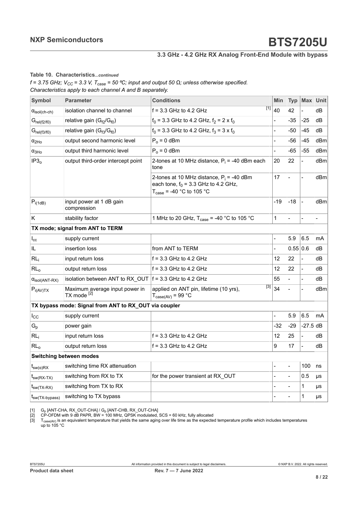#### <span id="page-7-0"></span>**Table 10. Characteristics***...continued*

<span id="page-7-2"></span><span id="page-7-1"></span> $f = 3.75$  GHz;  $V_{CC} = 3.3$  V,  $T_{case} = 50$  °C; input and output 50  $\Omega$ ; unless otherwise specified. *Characteristics apply to each channel A and B separately.*

| <b>Symbol</b>                  | <b>Parameter</b>                                          | <b>Conditions</b>                                                                                                             | <b>Min</b>     | <b>Typ</b> | Max Unit       |                |
|--------------------------------|-----------------------------------------------------------|-------------------------------------------------------------------------------------------------------------------------------|----------------|------------|----------------|----------------|
| $\alpha_{\text{isol(ch-ch)}}$  | isolation channel to channel                              | $f = 3.3$ GHz to 4.2 GHz                                                                                                      | 111 40         | 42         |                | dΒ             |
| $G_{rel(f2/f0)}$               | relative gain (G <sub>f2</sub> /G <sub>f0</sub> )         | $f_0$ = 3.3 GHz to 4.2 GHz, $f_2$ = 2 x $f_0$                                                                                 |                | -35        | $-25$          | dВ             |
| $G_{rel(f3/f0)}$               | relative gain $(G_{f3}/G_{f0})$                           | $f_0$ = 3.3 GHz to 4.2 GHz, $f_3$ = 3 x $f_0$                                                                                 |                | -50        | -45            | dВ             |
| $\alpha_{2Ho}$                 | output second harmonic level                              | $P_0 = 0$ dBm                                                                                                                 | $\overline{a}$ | -56        | $-45$          | dBm            |
| $\alpha_{3Ho}$                 | output third harmonic level                               | $P_0 = 0$ dBm                                                                                                                 | $\overline{a}$ | -65        | $-55$          | dBm            |
| IP3 <sub>o</sub>               | output third-order intercept point                        | 2-tones at 10 MHz distance, $P_i$ = -40 dBm each<br>tone                                                                      | 20             | 22         | $\blacksquare$ | dBm            |
|                                |                                                           | 2-tones at 10 MHz distance, $P_i = -40$ dBm<br>each tone, $f_0 = 3.3$ GHz to 4.2 GHz,<br>$T_{\text{case}}$ = -40 °C to 105 °C | 17             |            | $\overline{a}$ | dBm            |
| $P_{i(1dB)}$                   | input power at 1 dB gain<br>compression                   |                                                                                                                               | $-19$          | $-18$      | $\blacksquare$ | dBm            |
| K                              | stability factor                                          | 1 MHz to 20 GHz, $T_{\text{case}} = -40$ °C to 105 °C                                                                         | 1              |            | $\overline{a}$ | $\overline{a}$ |
|                                | TX mode; signal from ANT to TERM                          |                                                                                                                               |                |            |                |                |
| $I_{\rm cc}$                   | supply current                                            |                                                                                                                               | $\overline{a}$ | 5.9        | 6.5            | mA             |
| IL                             | insertion loss                                            | from ANT to TERM                                                                                                              |                | 0.55 0.6   |                | dB             |
| RL <sub>i</sub>                | input return loss                                         | $f = 3.3$ GHz to 4.2 GHz                                                                                                      | 12             | 22         | $\blacksquare$ | dB             |
| RL <sub>o</sub>                | output return loss                                        | $f = 3.3$ GHz to 4.2 GHz                                                                                                      | 12             | 22         | $\blacksquare$ | dB             |
| $\alpha_{\text{isol(ANT-RX)}}$ | isolation between ANT to RX OUT $ f = 3.3$ GHz to 4.2 GHz |                                                                                                                               | 55             |            | $\blacksquare$ | dВ             |
| $P_{i(AV)TX}$                  | Maximum average input power in<br>TX mode <sup>[2]</sup>  | [3]<br>applied on ANT pin, lifetime (10 yrs),<br>$T_{\text{case(AV)}} = 99 \text{ °C}$                                        | 34             |            |                | dBm            |
|                                | TX bypass mode: Signal from ANT to RX_OUT via coupler     |                                                                                                                               |                |            |                |                |
| $I_{\rm CC}$                   | supply current                                            |                                                                                                                               |                | 5.9        | 6.5            | mA             |
| $G_p$                          | power gain                                                |                                                                                                                               | -32            | $-29$      | $-27.5$ dB     |                |
| RL <sub>i</sub>                | input return loss                                         | $f = 3.3$ GHz to 4.2 GHz                                                                                                      | 12             | 25         | $\blacksquare$ | dB             |
| RL <sub>o</sub>                | output return loss                                        | $f = 3.3$ GHz to 4.2 GHz                                                                                                      | 9              | 17         | $\overline{a}$ | dB             |
|                                | <b>Switching between modes</b>                            |                                                                                                                               |                |            |                |                |
| $t_{sw(\alpha)RX}$             | switching time RX attenuation                             |                                                                                                                               |                |            | 100            | ns             |
| $t_{sw(RX-TX)}$                | switching from RX to TX                                   | for the power transient at RX_OUT                                                                                             |                |            | 0.5            | μs             |
| $t_{sw(TX-RX)}$                | switching from TX to RX                                   |                                                                                                                               |                |            | 1              | μs             |
| $I_{SW(TX-bypass)}$            | switching to TX bypass                                    |                                                                                                                               |                |            | 1              | μs             |

[1] G<sub>p</sub> [ANT-CHA, RX\_OUT-CHA] / G<sub>p</sub> [ANT-CHB, RX\_OUT-CHA]<br>[2] CP-OFDM with 9 dB PAPR, BW = 100 MHz, QPSK modulated, SCS = 60 kHz, fully allocated

[3]  $\;$  T $_{\rm case (AV)}$  is an equivalent temperature that yields the same aging over life time as the expected temperature profile which includes temperatures up to 105 °C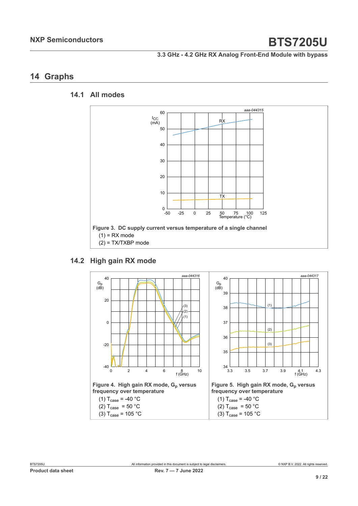## <span id="page-8-0"></span>**14 Graphs**

### **14.1 All modes**

<span id="page-8-1"></span>

## **14.2 High gain RX mode**

<span id="page-8-2"></span>![](_page_8_Figure_7.jpeg)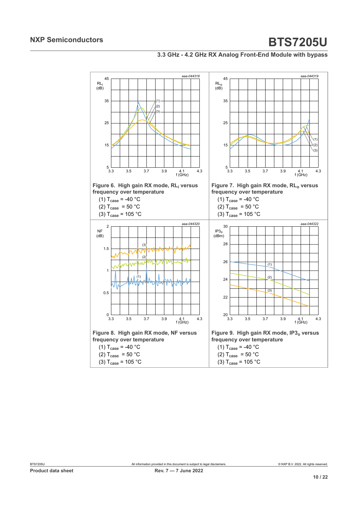#### **3.3 GHz - 4.2 GHz RX Analog Front-End Module with bypass**

![](_page_9_Figure_3.jpeg)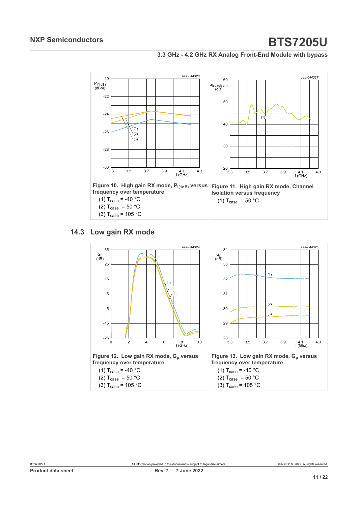**3.3 GHz - 4.2 GHz RX Analog Front-End Module with bypass**

![](_page_10_Figure_3.jpeg)

## **14.3 Low gain RX mode**

<span id="page-10-0"></span>![](_page_10_Figure_5.jpeg)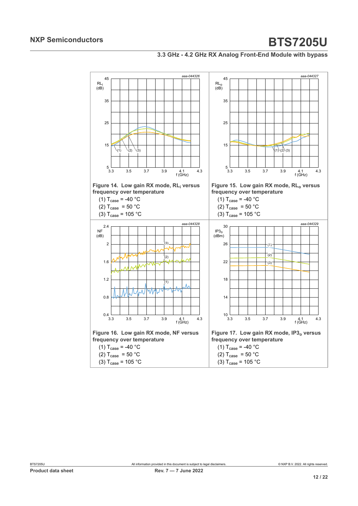#### **3.3 GHz - 4.2 GHz RX Analog Front-End Module with bypass**

![](_page_11_Figure_3.jpeg)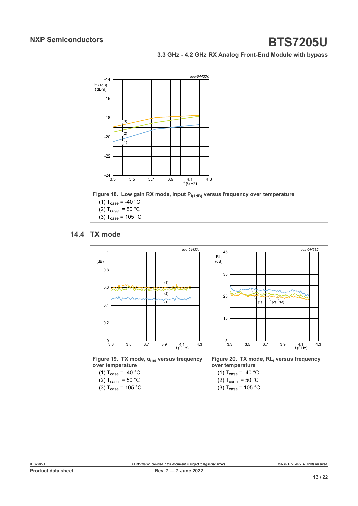#### **3.3 GHz - 4.2 GHz RX Analog Front-End Module with bypass**

![](_page_12_Figure_3.jpeg)

## **14.4 TX mode**

<span id="page-12-0"></span>![](_page_12_Figure_5.jpeg)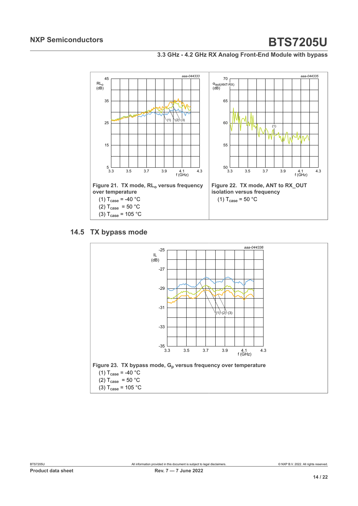#### **3.3 GHz - 4.2 GHz RX Analog Front-End Module with bypass**

![](_page_13_Figure_3.jpeg)

#### **14.5 TX bypass mode**

<span id="page-13-0"></span>![](_page_13_Figure_5.jpeg)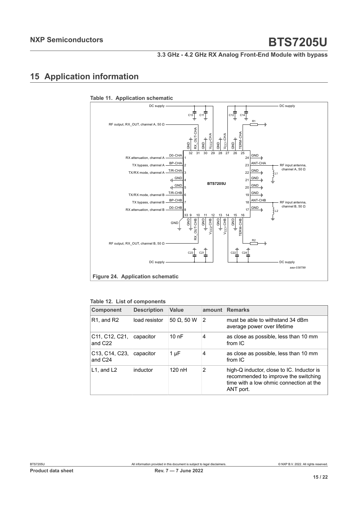# <span id="page-14-0"></span>**15 Application information**

![](_page_14_Figure_4.jpeg)

#### **Table 11. Application schematic**

| <b>Component</b>                                                             | <b>Description</b> | Value              | amount | <b>Remarks</b>                                                                                                                            |
|------------------------------------------------------------------------------|--------------------|--------------------|--------|-------------------------------------------------------------------------------------------------------------------------------------------|
| R <sub>1</sub> , and R <sub>2</sub>                                          | load resistor      | 50 $\Omega$ , 50 W | 2      | must be able to withstand 34 dBm<br>average power over lifetime                                                                           |
| C <sub>11</sub> , C <sub>12</sub> , C <sub>21</sub> ,<br>and C <sub>22</sub> | capacitor          | 10nF               | 4      | as close as possible, less than 10 mm<br>from IC                                                                                          |
| C <sub>13</sub> , C <sub>14</sub> , C <sub>23</sub> ,<br>and C <sub>24</sub> | capacitor          | $1 \mu F$          | 4      | as close as possible, less than 10 mm<br>from $IC$                                                                                        |
| $L1$ , and $L2$                                                              | inductor           | $120$ nH           | 2      | high-Q inductor, close to IC. Inductor is<br>recommended to improve the switching<br>time with a low ohmic connection at the<br>ANT port. |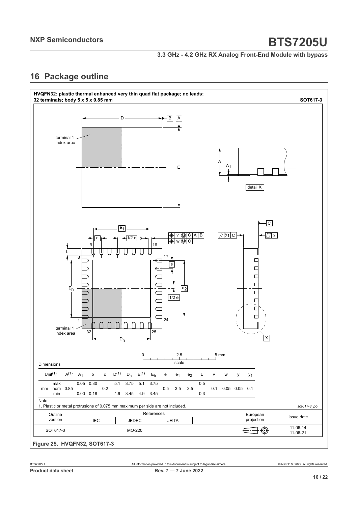**3.3 GHz - 4.2 GHz RX Analog Front-End Module with bypass**

# <span id="page-15-0"></span>**16 Package outline**

![](_page_15_Figure_4.jpeg)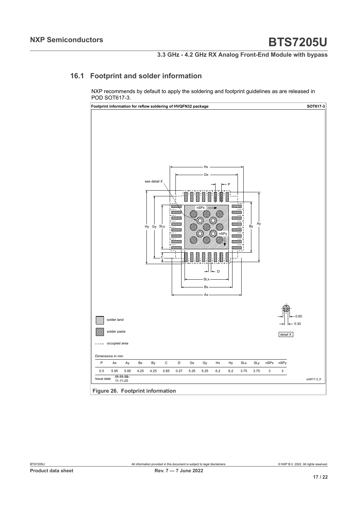## **16.1 Footprint and solder information**

<span id="page-16-0"></span>NXP recommends by default to apply the soldering and footprint guidelines as are released in POD SOT617-3.

![](_page_16_Figure_5.jpeg)

**Figure 26. Footprint information**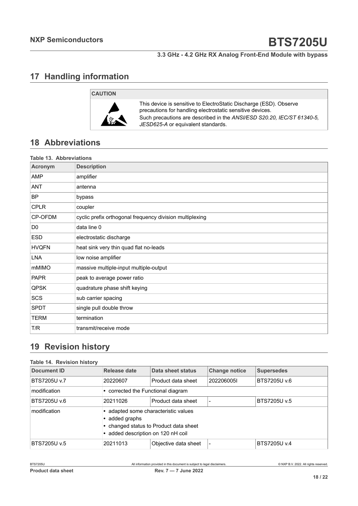# <span id="page-17-0"></span>**17 Handling information**

# **CAUTION**

![](_page_17_Picture_5.jpeg)

This device is sensitive to ElectroStatic Discharge (ESD). Observe precautions for handling electrostatic sensitive devices. Such precautions are described in the *ANSI/ESD S20.20, IEC/ST 61340-5, JESD625-A* or equivalent standards.

# <span id="page-17-1"></span>**18 Abbreviations**

| <b>Table 13. Abbreviations</b> |                                                          |  |  |
|--------------------------------|----------------------------------------------------------|--|--|
| <b>Acronym</b>                 | <b>Description</b>                                       |  |  |
| AMP                            | amplifier                                                |  |  |
| ANT                            | antenna                                                  |  |  |
| <b>BP</b>                      | bypass                                                   |  |  |
| <b>CPLR</b>                    | coupler                                                  |  |  |
| CP-OFDM                        | cyclic prefix orthogonal frequency division multiplexing |  |  |
| D <sub>0</sub>                 | data line 0                                              |  |  |
| <b>ESD</b>                     | electrostatic discharge                                  |  |  |
| <b>HVQFN</b>                   | heat sink very thin quad flat no-leads                   |  |  |
| <b>LNA</b>                     | low noise amplifier                                      |  |  |
| mMIMO                          | massive multiple-input multiple-output                   |  |  |
| <b>PAPR</b>                    | peak to average power ratio                              |  |  |
| QPSK                           | quadrature phase shift keying                            |  |  |
| SCS                            | sub carrier spacing                                      |  |  |
| <b>SPDT</b>                    | single pull double throw                                 |  |  |
| <b>TERM</b>                    | termination                                              |  |  |
| T/R                            | transmit/receive mode                                    |  |  |

# <span id="page-17-2"></span>**19 Revision history**

#### **Table 14. Revision history**

| Document ID         | Release date                                                                                                                         | Data sheet status    | <b>Change notice</b> | <b>Supersedes</b> |
|---------------------|--------------------------------------------------------------------------------------------------------------------------------------|----------------------|----------------------|-------------------|
| <b>BTS7205U v.7</b> | 20220607                                                                                                                             | Product data sheet   | 2022060051           | BTS7205U v.6      |
| modification        | • corrected the Functional diagram                                                                                                   |                      |                      |                   |
| BTS7205U v.6        | 20211026                                                                                                                             | Product data sheet   |                      | BTS7205U v.5      |
| modification        | • adapted some characteristic values<br>added graphs<br>• changed status to Product data sheet<br>• added description on 120 nH coil |                      |                      |                   |
| BTS7205U v.5        | 20211013                                                                                                                             | Objective data sheet |                      | BTS7205U v.4      |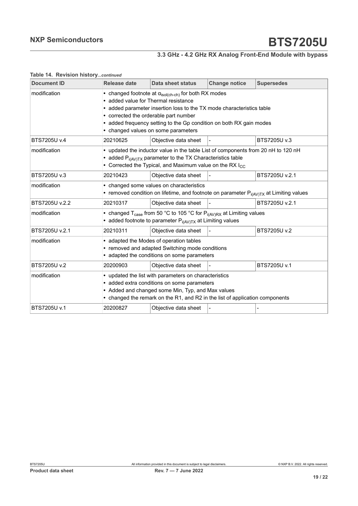# **3.3 GHz - 4.2 GHz RX Analog Front-End Module with bypass**

#### **Table 14. Revision history***...continued*

| <b>Document ID</b> | <b>Release date</b>                                                                                                                                                                                                                                                                                                                         | <b>Data sheet status</b> | <b>Change notice</b> | <b>Supersedes</b> |  |
|--------------------|---------------------------------------------------------------------------------------------------------------------------------------------------------------------------------------------------------------------------------------------------------------------------------------------------------------------------------------------|--------------------------|----------------------|-------------------|--|
| modification       | • changed footnote at $\alpha_{\text{isol(ch-ch)}}$ for both RX modes<br>• added value for Thermal resistance<br>added parameter insertion loss to the TX mode characteristics table<br>• corrected the orderable part number<br>• added frequency setting to the Gp condition on both RX gain modes<br>• changed values on some parameters |                          |                      |                   |  |
| BTS7205U v.4       | 20210625                                                                                                                                                                                                                                                                                                                                    | Objective data sheet     |                      | BTS7205U v.3      |  |
| modification       | • updated the inductor value in the table List of components from 20 nH to 120 nH<br>• added $P_{i(AV)TX}$ parameter to the TX Characteristics table<br>• Corrected the Typical, and Maximum value on the RX $I_{CC}$                                                                                                                       |                          |                      |                   |  |
| BTS7205U v.3       | 20210423                                                                                                                                                                                                                                                                                                                                    | Objective data sheet     |                      | BTS7205U v.2.1    |  |
| modification       | • changed some values on characteristics<br>• removed condition on lifetime, and footnote on parameter $P_{i(AV)TX}$ at Limiting values                                                                                                                                                                                                     |                          |                      |                   |  |
| BTS7205U v.2.2     | 20210317                                                                                                                                                                                                                                                                                                                                    | Objective data sheet     |                      | BTS7205U v.2.1    |  |
| modification       | • changed T <sub>case</sub> from 50 °C to 105 °C for $P_{i(AV)RX}$ at Limiting values<br>• added footnote to parameter $P_{i(AV)TX}$ at Limiting values                                                                                                                                                                                     |                          |                      |                   |  |
| BTS7205U v.2.1     | 20210311                                                                                                                                                                                                                                                                                                                                    | Objective data sheet     |                      | BTS7205U v.2      |  |
| modification       | • adapted the Modes of operation tables<br>• removed and adapted Switching mode conditions<br>• adapted the conditions on some parameters                                                                                                                                                                                                   |                          |                      |                   |  |
| BTS7205U v.2       | 20200903                                                                                                                                                                                                                                                                                                                                    | Objective data sheet     |                      | BTS7205U v.1      |  |
| modification       | • updated the list with parameters on characteristics<br>• added extra conditions on some parameters<br>• Added and changed some Min, Typ, and Max values<br>• changed the remark on the R1, and R2 in the list of application components                                                                                                   |                          |                      |                   |  |
| BTS7205U v.1       | 20200827                                                                                                                                                                                                                                                                                                                                    | Objective data sheet     |                      |                   |  |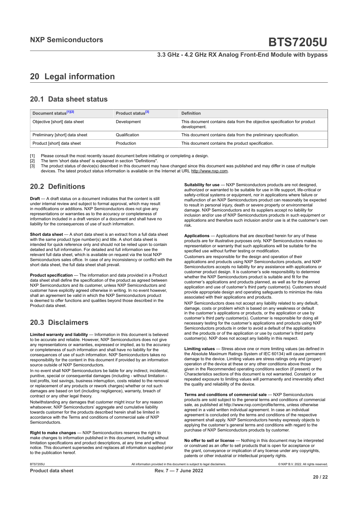# <span id="page-19-0"></span>**20 Legal information**

### **20.1 Data sheet status**

| Document status <sup>[1][2]</sup> | Product status <sup>[3]</sup> | <b>Definition</b>                                                                        |
|-----------------------------------|-------------------------------|------------------------------------------------------------------------------------------|
| Objective [short] data sheet      | Development                   | This document contains data from the objective specification for product<br>development. |
| Preliminary [short] data sheet    | Qualification                 | This document contains data from the preliminary specification.                          |
| Product [short] data sheet        | Production                    | This document contains the product specification.                                        |

[1] Please consult the most recently issued document before initiating or completing a design.<br>[2] The term 'short data sheet' is explained in section "Definitions".

[2] The term 'short data sheet' is explained in section "Definitions".<br>[2] The term 'short data sheet' is explained in section "Definitions".

[3] The product status of device(s) described in this document may have changed since this document was published and may differ in case of multiple devices. The latest product status information is available on the Internet at URL http://www.nxp.com.

## **20.2 Definitions**

**Draft** — A draft status on a document indicates that the content is still under internal review and subject to formal approval, which may result in modifications or additions. NXP Semiconductors does not give any representations or warranties as to the accuracy or completeness of information included in a draft version of a document and shall have no liability for the consequences of use of such information.

**Short data sheet** — A short data sheet is an extract from a full data sheet with the same product type number(s) and title. A short data sheet is intended for quick reference only and should not be relied upon to contain detailed and full information. For detailed and full information see the relevant full data sheet, which is available on request via the local NXP Semiconductors sales office. In case of any inconsistency or conflict with the short data sheet, the full data sheet shall prevail.

**Product specification** — The information and data provided in a Product data sheet shall define the specification of the product as agreed between NXP Semiconductors and its customer, unless NXP Semiconductors and customer have explicitly agreed otherwise in writing. In no event however, shall an agreement be valid in which the NXP Semiconductors product is deemed to offer functions and qualities beyond those described in the Product data sheet.

## **20.3 Disclaimers**

**Limited warranty and liability** — Information in this document is believed to be accurate and reliable. However, NXP Semiconductors does not give any representations or warranties, expressed or implied, as to the accuracy or completeness of such information and shall have no liability for the consequences of use of such information. NXP Semiconductors takes no responsibility for the content in this document if provided by an information source outside of NXP Semiconductors.

In no event shall NXP Semiconductors be liable for any indirect, incidental, punitive, special or consequential damages (including - without limitation lost profits, lost savings, business interruption, costs related to the removal or replacement of any products or rework charges) whether or not such damages are based on tort (including negligence), warranty, breach of contract or any other legal theory.

Notwithstanding any damages that customer might incur for any reason whatsoever, NXP Semiconductors' aggregate and cumulative liability towards customer for the products described herein shall be limited in accordance with the Terms and conditions of commercial sale of NXP Semiconductors.

**Right to make changes** — NXP Semiconductors reserves the right to make changes to information published in this document, including without limitation specifications and product descriptions, at any time and without notice. This document supersedes and replaces all information supplied prior to the publication hereof.

**Suitability for use** — NXP Semiconductors products are not designed, authorized or warranted to be suitable for use in life support, life-critical or safety-critical systems or equipment, nor in applications where failure or malfunction of an NXP Semiconductors product can reasonably be expected to result in personal injury, death or severe property or environmental damage. NXP Semiconductors and its suppliers accept no liability for inclusion and/or use of NXP Semiconductors products in such equipment or applications and therefore such inclusion and/or use is at the customer's own risk.

**Applications** — Applications that are described herein for any of these products are for illustrative purposes only. NXP Semiconductors makes no representation or warranty that such applications will be suitable for the specified use without further testing or modification.

Customers are responsible for the design and operation of their applications and products using NXP Semiconductors products, and NXP Semiconductors accepts no liability for any assistance with applications or customer product design. It is customer's sole responsibility to determine whether the NXP Semiconductors product is suitable and fit for the customer's applications and products planned, as well as for the planned application and use of customer's third party customer(s). Customers should provide appropriate design and operating safeguards to minimize the risks associated with their applications and products.

NXP Semiconductors does not accept any liability related to any default, damage, costs or problem which is based on any weakness or default in the customer's applications or products, or the application or use by customer's third party customer(s). Customer is responsible for doing all necessary testing for the customer's applications and products using NXP Semiconductors products in order to avoid a default of the applications and the products or of the application or use by customer's third party customer(s). NXP does not accept any liability in this respect.

**Limiting values** — Stress above one or more limiting values (as defined in the Absolute Maximum Ratings System of IEC 60134) will cause permanent damage to the device. Limiting values are stress ratings only and (proper) operation of the device at these or any other conditions above those given in the Recommended operating conditions section (if present) or the Characteristics sections of this document is not warranted. Constant or repeated exposure to limiting values will permanently and irreversibly affect the quality and reliability of the device.

**Terms and conditions of commercial sale** — NXP Semiconductors products are sold subject to the general terms and conditions of commercial sale, as published at http://www.nxp.com/profile/terms, unless otherwise agreed in a valid written individual agreement. In case an individual agreement is concluded only the terms and conditions of the respective agreement shall apply. NXP Semiconductors hereby expressly objects to applying the customer's general terms and conditions with regard to the purchase of NXP Semiconductors products by customer.

**No offer to sell or license** — Nothing in this document may be interpreted or construed as an offer to sell products that is open for acceptance or the grant, conveyance or implication of any license under any copyrights, patents or other industrial or intellectual property rights.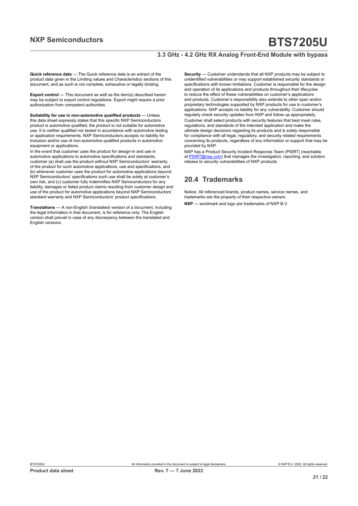#### **3.3 GHz - 4.2 GHz RX Analog Front-End Module with bypass**

**Quick reference data** — The Quick reference data is an extract of the product data given in the Limiting values and Characteristics sections of this document, and as such is not complete, exhaustive or legally binding.

**Export control** — This document as well as the item(s) described herein may be subject to export control regulations. Export might require a prior authorization from competent authorities.

**Suitability for use in non-automotive qualified products** — Unless this data sheet expressly states that this specific NXP Semiconductors product is automotive qualified, the product is not suitable for automotive use. It is neither qualified nor tested in accordance with automotive testing or application requirements. NXP Semiconductors accepts no liability for inclusion and/or use of non-automotive qualified products in automotive equipment or applications.

In the event that customer uses the product for design-in and use in automotive applications to automotive specifications and standards, customer (a) shall use the product without NXP Semiconductors' warranty of the product for such automotive applications, use and specifications, and (b) whenever customer uses the product for automotive applications beyond NXP Semiconductors' specifications such use shall be solely at customer's own risk, and (c) customer fully indemnifies NXP Semiconductors for any liability, damages or failed product claims resulting from customer design and use of the product for automotive applications beyond NXP Semiconductors' standard warranty and NXP Semiconductors' product specifications.

**Translations** — A non-English (translated) version of a document, including the legal information in that document, is for reference only. The English version shall prevail in case of any discrepancy between the translated and English versions.

**Security** — Customer understands that all NXP products may be subject to unidentified vulnerabilities or may support established security standards or specifications with known limitations. Customer is responsible for the design and operation of its applications and products throughout their lifecycles to reduce the effect of these vulnerabilities on customer's applications and products. Customer's responsibility also extends to other open and/or proprietary technologies supported by NXP products for use in customer's applications. NXP accepts no liability for any vulnerability. Customer should regularly check security updates from NXP and follow up appropriately. Customer shall select products with security features that best meet rules, regulations, and standards of the intended application and make the ultimate design decisions regarding its products and is solely responsible for compliance with all legal, regulatory, and security related requirements concerning its products, regardless of any information or support that may be provided by NXP.

NXP has a Product Security Incident Response Team (PSIRT) (reachable at [PSIRT@nxp.com](mailto:PSIRT@nxp.com)) that manages the investigation, reporting, and solution release to security vulnerabilities of NXP products.

### **20.4 Trademarks**

Notice: All referenced brands, product names, service names, and trademarks are the property of their respective owners. **NXP** — wordmark and logo are trademarks of NXP B.V.

**Product data sheet Rev. 7 — 7 June 2022**